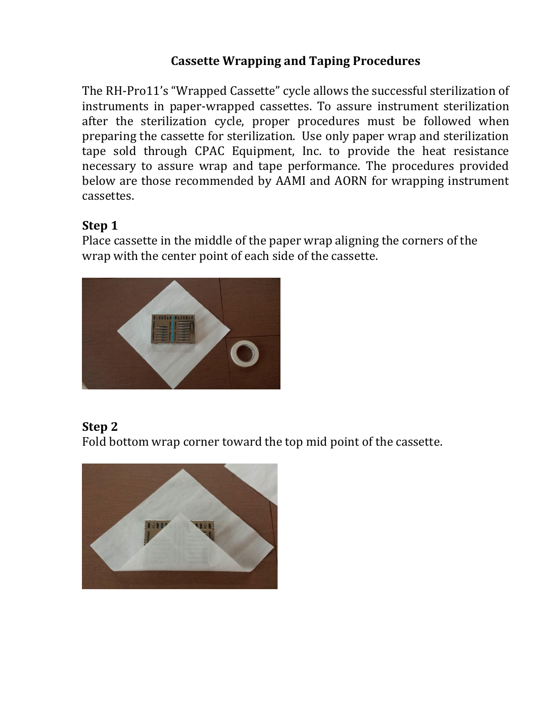#### **Cassette Wrapping and Taping Procedures**

The RH-Pro11's "Wrapped Cassette" cycle allows the successful sterilization of instruments in paper-wrapped cassettes. To assure instrument sterilization after the sterilization cycle, proper procedures must be followed when preparing the cassette for sterilization. Use only paper wrap and sterilization tape sold through CPAC Equipment, Inc. to provide the heat resistance necessary to assure wrap and tape performance. The procedures provided below are those recommended by AAMI and AORN for wrapping instrument cassettes.

#### **Step 1**

Place cassette in the middle of the paper wrap aligning the corners of the wrap with the center point of each side of the cassette.



#### **Step 2**

Fold bottom wrap corner toward the top mid point of the cassette.

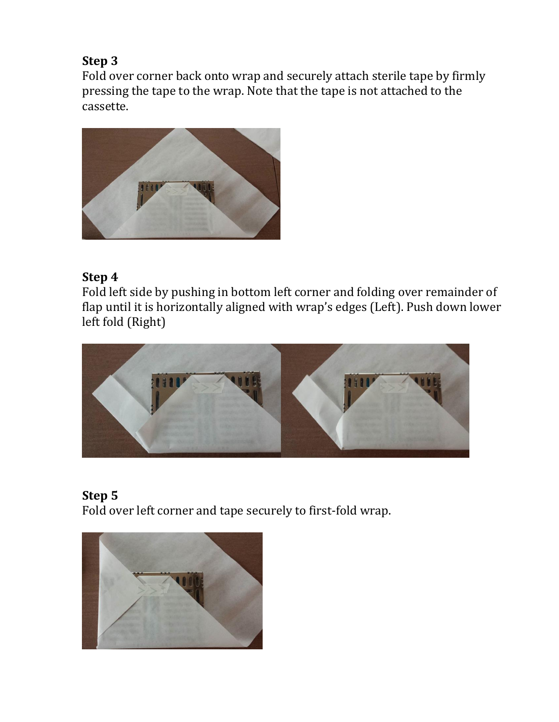### **Step 3**

Fold over corner back onto wrap and securely attach sterile tape by firmly pressing the tape to the wrap. Note that the tape is not attached to the cassette.



#### **Step 4**

Fold left side by pushing in bottom left corner and folding over remainder of flap until it is horizontally aligned with wrap's edges (Left). Push down lower left fold (Right)



# **Step 5**

Fold over left corner and tape securely to first-fold wrap.

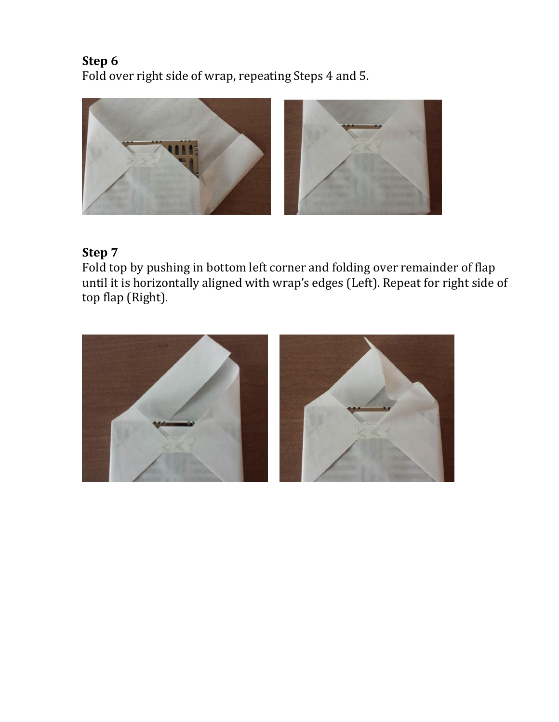**Step 6** Fold over right side of wrap, repeating Steps 4 and 5.



# **Step 7**

Fold top by pushing in bottom left corner and folding over remainder of flap until it is horizontally aligned with wrap's edges (Left). Repeat for right side of top flap (Right).